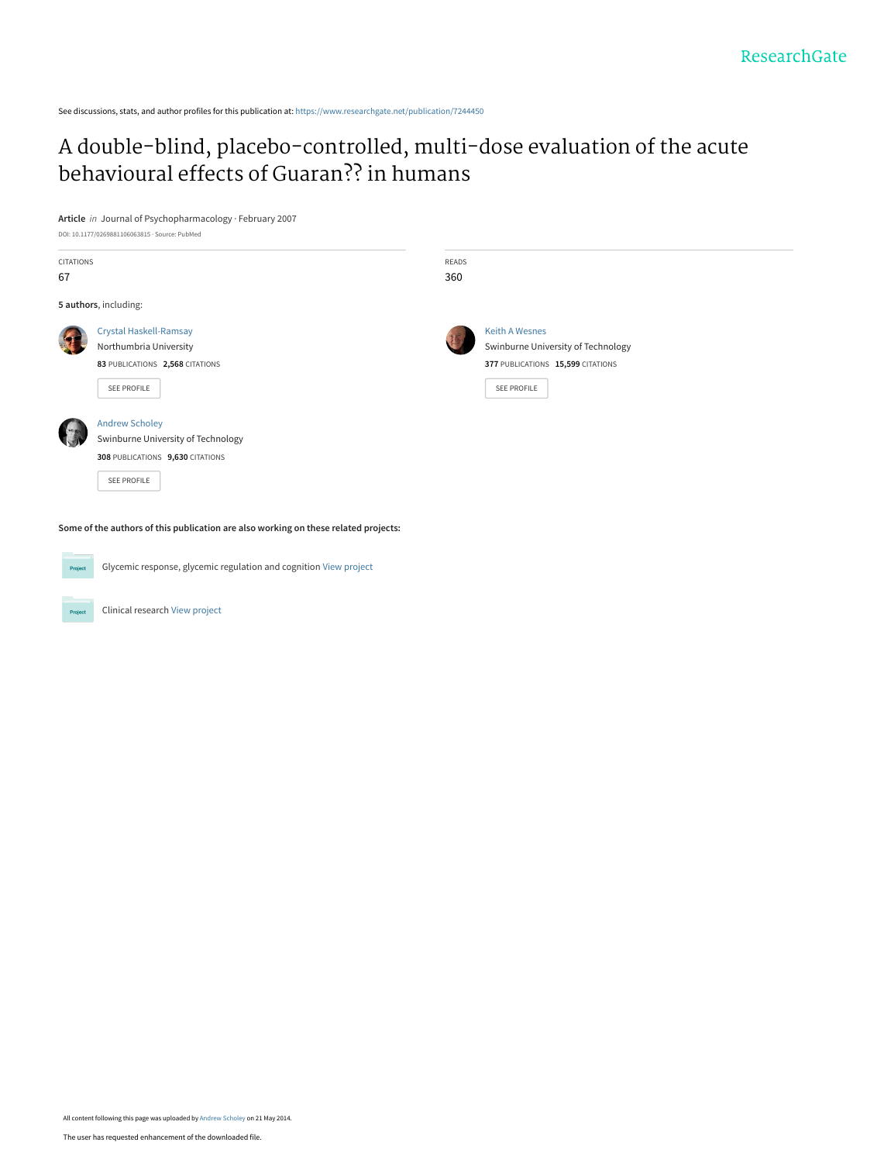See discussions, stats, and author profiles for this publication at: [https://www.researchgate.net/publication/7244450](https://www.researchgate.net/publication/7244450_A_double-blind_placebo-controlled_multi-dose_evaluation_of_the_acute_behavioural_effects_of_Guaran_in_humans?enrichId=rgreq-26d269e1dec7f1eb8ba5869fd670b6af-XXX&enrichSource=Y292ZXJQYWdlOzcyNDQ0NTA7QVM6OTkwODc5OTkzMDc3ODFAMTQwMDYzNTgyODQ0MA%3D%3D&el=1_x_2&_esc=publicationCoverPdf)

# [A double-blind, placebo-controlled, multi-dose evaluation of the acute](https://www.researchgate.net/publication/7244450_A_double-blind_placebo-controlled_multi-dose_evaluation_of_the_acute_behavioural_effects_of_Guaran_in_humans?enrichId=rgreq-26d269e1dec7f1eb8ba5869fd670b6af-XXX&enrichSource=Y292ZXJQYWdlOzcyNDQ0NTA7QVM6OTkwODc5OTkzMDc3ODFAMTQwMDYzNTgyODQ0MA%3D%3D&el=1_x_3&_esc=publicationCoverPdf) behavioural effects of Guaran?? in humans

**Article** in Journal of Psychopharmacology · February 2007 DOI: 10.1177/0269881106063815 · Source: PubMed

| CITATIONS<br>67 |                                                                                                                | <b>READS</b><br>360 |                                                                                                                 |  |
|-----------------|----------------------------------------------------------------------------------------------------------------|---------------------|-----------------------------------------------------------------------------------------------------------------|--|
|                 | 5 authors, including:                                                                                          |                     |                                                                                                                 |  |
|                 | <b>Crystal Haskell-Ramsay</b><br>Northumbria University<br>83 PUBLICATIONS 2,568 CITATIONS<br>SEE PROFILE      |                     | <b>Keith A Wesnes</b><br>Swinburne University of Technology<br>377 PUBLICATIONS 15,599 CITATIONS<br>SEE PROFILE |  |
|                 | <b>Andrew Scholey</b><br>Swinburne University of Technology<br>308 PUBLICATIONS 9,630 CITATIONS<br>SEE PROFILE |                     |                                                                                                                 |  |



Glycemic response, glycemic regulation and cognition [View project](https://www.researchgate.net/project/Glycemic-response-glycemic-regulation-and-cognition?enrichId=rgreq-26d269e1dec7f1eb8ba5869fd670b6af-XXX&enrichSource=Y292ZXJQYWdlOzcyNDQ0NTA7QVM6OTkwODc5OTkzMDc3ODFAMTQwMDYzNTgyODQ0MA%3D%3D&el=1_x_9&_esc=publicationCoverPdf)

Clinical research [View project](https://www.researchgate.net/project/Clinical-research-2?enrichId=rgreq-26d269e1dec7f1eb8ba5869fd670b6af-XXX&enrichSource=Y292ZXJQYWdlOzcyNDQ0NTA7QVM6OTkwODc5OTkzMDc3ODFAMTQwMDYzNTgyODQ0MA%3D%3D&el=1_x_9&_esc=publicationCoverPdf) Project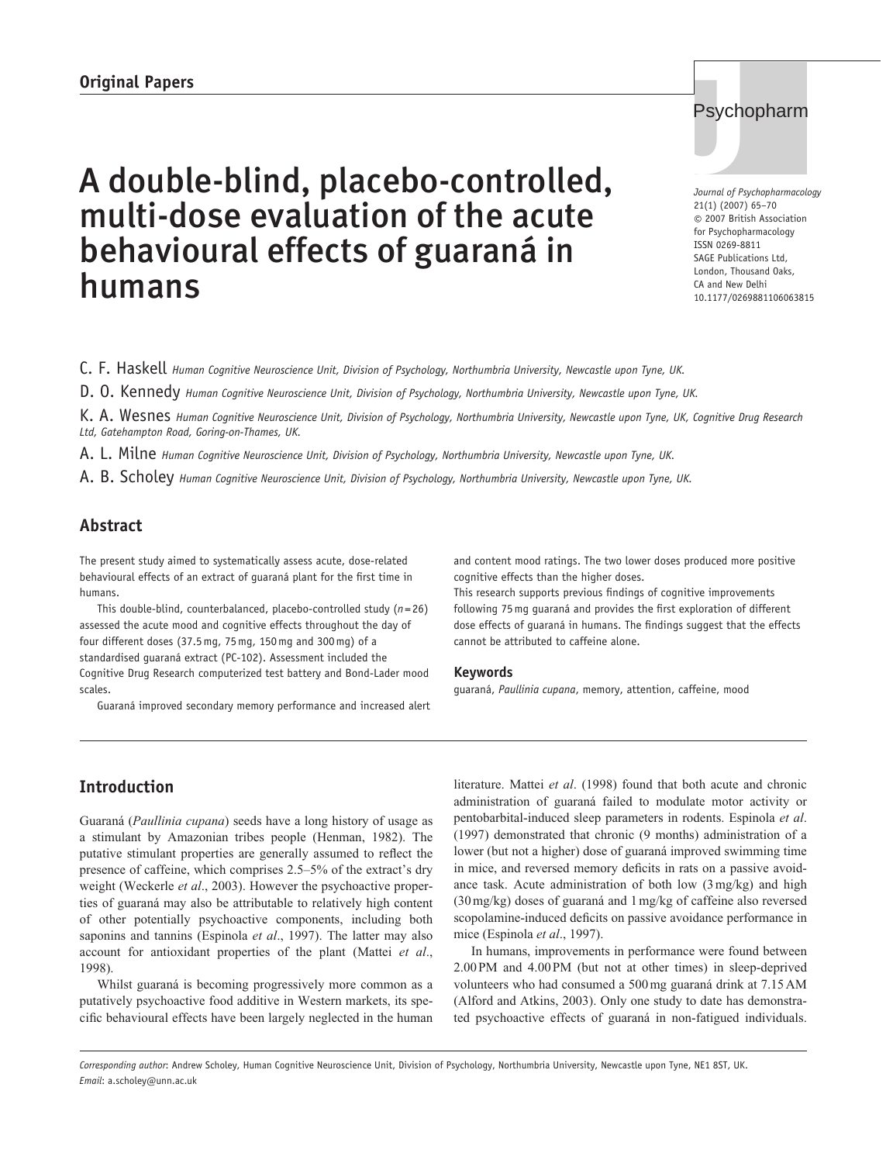# A double-blind, placebo-controlled, **Original Papers J** multi-dose evaluation of the acute behavioural effects of guaraná in humans

C. F. Haskell *Human Cognitive Neuroscience Unit, Division of Psychology, Northumbria University, Newcastle upon Tyne, UK.*

D. O. Kennedy *Human Cognitive Neuroscience Unit, Division of Psychology, Northumbria University, Newcastle upon Tyne, UK.*

K. A. Wesnes *Human Cognitive Neuroscience Unit, Division of Psychology, Northumbria University, Newcastle upon Tyne, UK, Cognitive Drug Research Ltd, Gatehampton Road, Goring-on-Thames, UK.*

A. L. Milne *Human Cognitive Neuroscience Unit, Division of Psychology, Northumbria University, Newcastle upon Tyne, UK.*

A. B. Scholey *Human Cognitive Neuroscience Unit, Division of Psychology, Northumbria University, Newcastle upon Tyne, UK.*

# **Abstract**

The present study aimed to systematically assess acute, dose-related behavioural effects of an extract of guaraná plant for the first time in humans.

This double-blind, counterbalanced, placebo-controlled study (*n*=26) assessed the acute mood and cognitive effects throughout the day of four different doses (37.5mg, 75mg, 150mg and 300mg) of a standardised guaraná extract (PC-102). Assessment included the Cognitive Drug Research computerized test battery and Bond-Lader mood scales.

Guaraná improved secondary memory performance and increased alert

and content mood ratings. The two lower doses produced more positive cognitive effects than the higher doses.

This research supports previous findings of cognitive improvements following 75mg guaraná and provides the first exploration of different dose effects of guaraná in humans. The findings suggest that the effects cannot be attributed to caffeine alone.

#### **Keywords**

guaraná, *Paullinia cupana*, memory, attention, caffeine, mood

# **Introduction**

Guaraná (*Paullinia cupana*) seeds have a long history of usage as a stimulant by Amazonian tribes people (Henman, 1982). The putative stimulant properties are generally assumed to reflect the presence of caffeine, which comprises 2.5–5% of the extract's dry weight (Weckerle *et al*., 2003). However the psychoactive properties of guaraná may also be attributable to relatively high content of other potentially psychoactive components, including both saponins and tannins (Espinola *et al*., 1997). The latter may also account for antioxidant properties of the plant (Mattei *et al*., 1998).

Whilst guaraná is becoming progressively more common as a putatively psychoactive food additive in Western markets, its specific behavioural effects have been largely neglected in the human literature. Mattei *et al*. (1998) found that both acute and chronic administration of guaraná failed to modulate motor activity or pentobarbital-induced sleep parameters in rodents. Espinola *et al*. (1997) demonstrated that chronic (9 months) administration of a lower (but not a higher) dose of guaraná improved swimming time in mice, and reversed memory deficits in rats on a passive avoidance task. Acute administration of both low (3 mg/kg) and high (30 mg/kg) doses of guaraná and 1 mg/kg of caffeine also reversed scopolamine-induced deficits on passive avoidance performance in mice (Espinola *et al*., 1997).

In humans, improvements in performance were found between 2.00 PM and 4.00 PM (but not at other times) in sleep-deprived volunteers who had consumed a 500 mg guaraná drink at 7.15 AM (Alford and Atkins, 2003). Only one study to date has demonstrated psychoactive effects of guaraná in non-fatigued individuals.

#### *Corresponding author*: Andrew Scholey, Human Cognitive Neuroscience Unit, Division of Psychology, Northumbria University, Newcastle upon Tyne, NE1 8ST, UK. *Email*: a.scholey@unn.ac.uk

# Psychopharm

*Journal of Psychopharmacology* 21(1) (2007) 65–70 © 2007 British Association for Psychopharmacology ISSN 0269-8811 SAGE Publications Ltd, London, Thousand Oaks, CA and New Delhi 10.1177/0269881106063815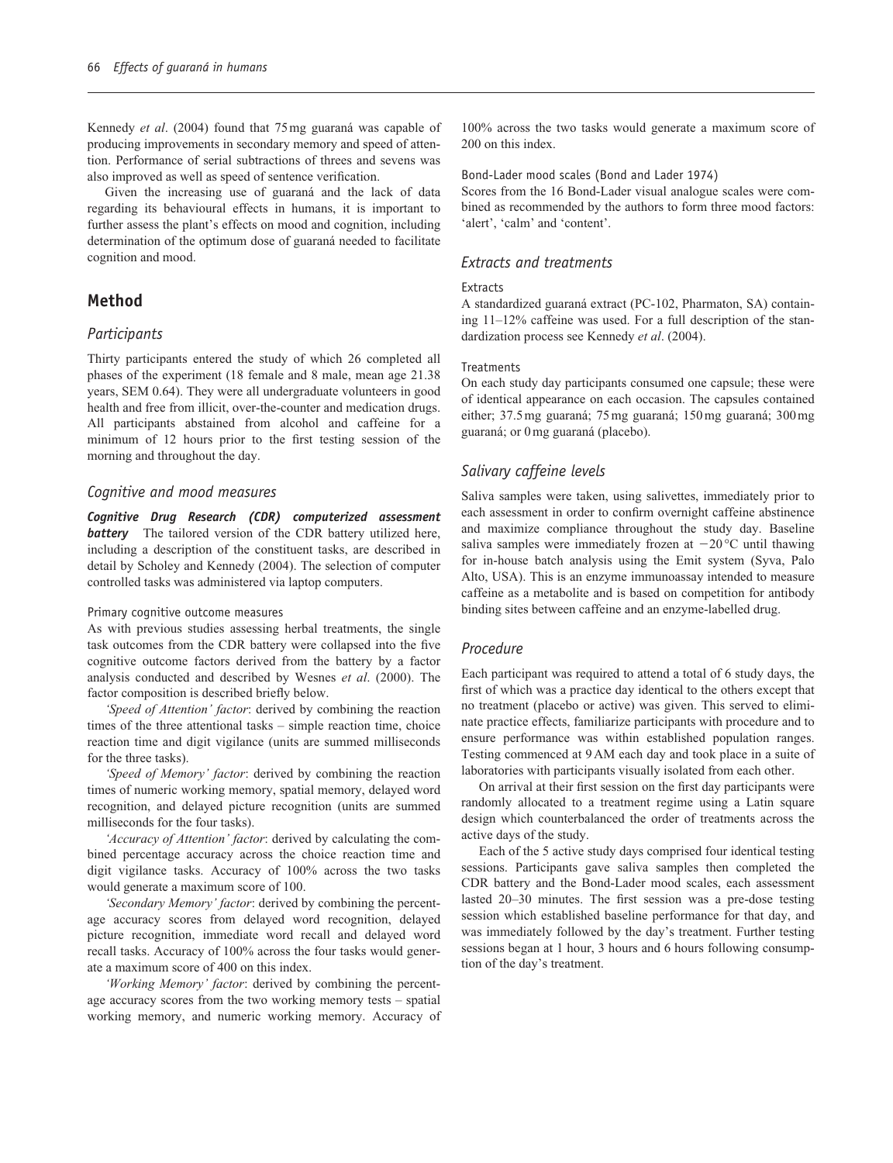Kennedy *et al*. (2004) found that 75 mg guaraná was capable of producing improvements in secondary memory and speed of attention. Performance of serial subtractions of threes and sevens was also improved as well as speed of sentence verification.

Given the increasing use of guaraná and the lack of data regarding its behavioural effects in humans, it is important to further assess the plant's effects on mood and cognition, including determination of the optimum dose of guaraná needed to facilitate cognition and mood.

# **Method**

# *Participants*

Thirty participants entered the study of which 26 completed all phases of the experiment (18 female and 8 male, mean age 21.38 years, SEM 0.64). They were all undergraduate volunteers in good health and free from illicit, over-the-counter and medication drugs. All participants abstained from alcohol and caffeine for a minimum of 12 hours prior to the first testing session of the morning and throughout the day.

# *Cognitive and mood measures*

*Cognitive Drug Research (CDR) computerized assessment battery* The tailored version of the CDR battery utilized here, including a description of the constituent tasks, are described in detail by Scholey and Kennedy (2004). The selection of computer controlled tasks was administered via laptop computers.

#### Primary cognitive outcome measures

As with previous studies assessing herbal treatments, the single task outcomes from the CDR battery were collapsed into the five cognitive outcome factors derived from the battery by a factor analysis conducted and described by Wesnes *et al*. (2000). The factor composition is described briefly below.

*'Speed of Attention' factor*: derived by combining the reaction times of the three attentional tasks – simple reaction time, choice reaction time and digit vigilance (units are summed milliseconds for the three tasks).

*'Speed of Memory' factor*: derived by combining the reaction times of numeric working memory, spatial memory, delayed word recognition, and delayed picture recognition (units are summed milliseconds for the four tasks).

*'Accuracy of Attention' factor*: derived by calculating the combined percentage accuracy across the choice reaction time and digit vigilance tasks. Accuracy of 100% across the two tasks would generate a maximum score of 100.

*'Secondary Memory' factor*: derived by combining the percentage accuracy scores from delayed word recognition, delayed picture recognition, immediate word recall and delayed word recall tasks. Accuracy of 100% across the four tasks would generate a maximum score of 400 on this index.

*'Working Memory' factor*: derived by combining the percentage accuracy scores from the two working memory tests – spatial working memory, and numeric working memory. Accuracy of 100% across the two tasks would generate a maximum score of 200 on this index.

#### Bond-Lader mood scales (Bond and Lader 1974)

Scores from the 16 Bond-Lader visual analogue scales were combined as recommended by the authors to form three mood factors: 'alert', 'calm' and 'content'.

# *Extracts and treatments*

#### Extracts

A standardized guaraná extract (PC-102, Pharmaton, SA) containing 11–12% caffeine was used. For a full description of the standardization process see Kennedy *et al*. (2004).

#### Treatments

On each study day participants consumed one capsule; these were of identical appearance on each occasion. The capsules contained either; 37.5 mg guaraná; 75 mg guaraná; 150 mg guaraná; 300 mg guaraná; or 0 mg guaraná (placebo).

# *Salivary caffeine levels*

Saliva samples were taken, using salivettes, immediately prior to each assessment in order to confirm overnight caffeine abstinence and maximize compliance throughout the study day. Baseline saliva samples were immediately frozen at  $-20^{\circ}$ C until thawing for in-house batch analysis using the Emit system (Syva, Palo Alto, USA). This is an enzyme immunoassay intended to measure caffeine as a metabolite and is based on competition for antibody binding sites between caffeine and an enzyme-labelled drug.

# *Procedure*

Each participant was required to attend a total of 6 study days, the first of which was a practice day identical to the others except that no treatment (placebo or active) was given. This served to eliminate practice effects, familiarize participants with procedure and to ensure performance was within established population ranges. Testing commenced at 9 AM each day and took place in a suite of laboratories with participants visually isolated from each other.

On arrival at their first session on the first day participants were randomly allocated to a treatment regime using a Latin square design which counterbalanced the order of treatments across the active days of the study.

Each of the 5 active study days comprised four identical testing sessions. Participants gave saliva samples then completed the CDR battery and the Bond-Lader mood scales, each assessment lasted 20–30 minutes. The first session was a pre-dose testing session which established baseline performance for that day, and was immediately followed by the day's treatment. Further testing sessions began at 1 hour, 3 hours and 6 hours following consumption of the day's treatment.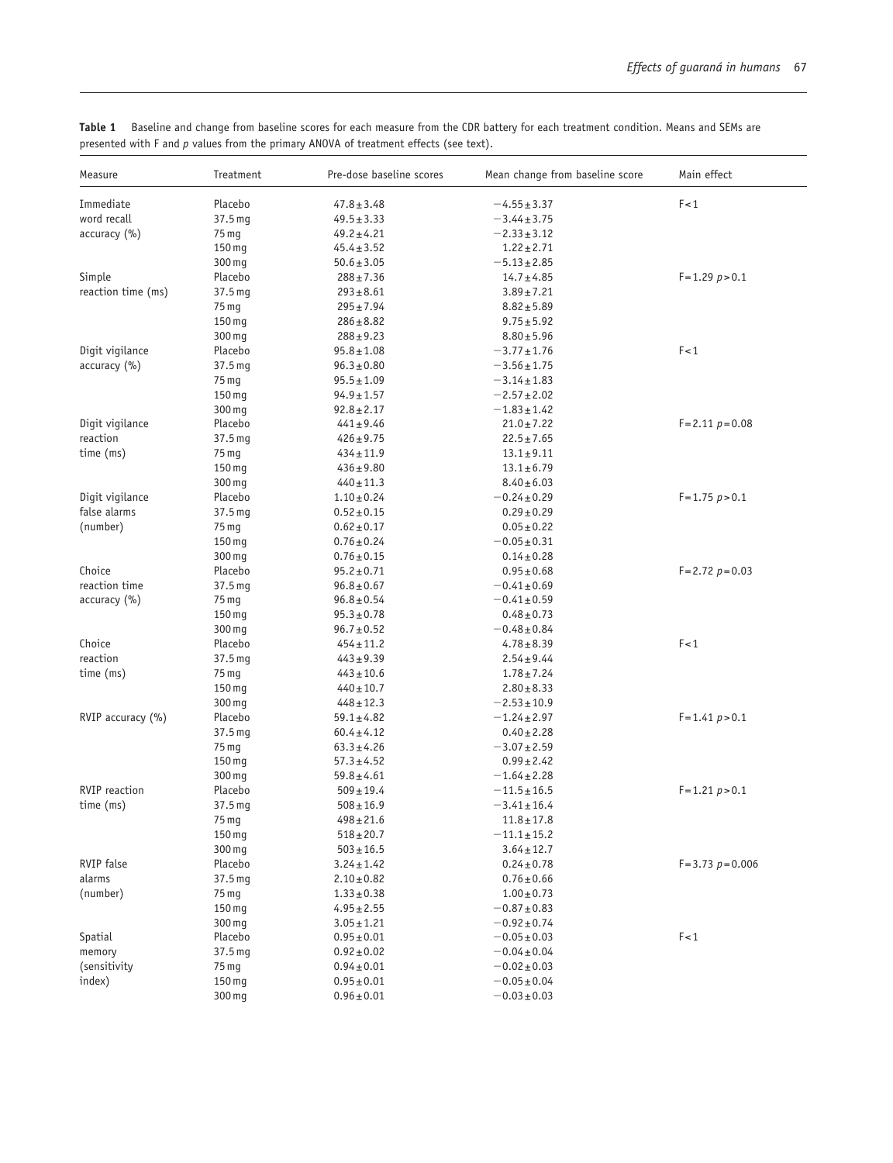| Measure            | Treatment          | Pre-dose baseline scores | Mean change from baseline score | Main effect            |
|--------------------|--------------------|--------------------------|---------------------------------|------------------------|
| Immediate          | Placebo            | $47.8 \pm 3.48$          | $-4.55 \pm 3.37$                | F < 1                  |
| word recall        | 37.5 mg            | $49.5 \pm 3.33$          | $-3.44 \pm 3.75$                |                        |
| accuracy (%)       | 75 mg              | $49.2 \pm 4.21$          | $-2.33 \pm 3.12$                |                        |
|                    | 150 mg             | $45.4 \pm 3.52$          | $1.22 \pm 2.71$                 |                        |
|                    | 300 mg             | $50.6 \pm 3.05$          | $-5.13 \pm 2.85$                |                        |
| Simple             | Placebo            | $288 \pm 7.36$           | $14.7 \pm 4.85$                 | $F = 1.29 p > 0.1$     |
| reaction time (ms) | 37.5 mg            | $293 \pm 8.61$           | $3.89 \pm 7.21$                 |                        |
|                    | 75 mg              | $295 \pm 7.94$           | $8.82 \pm 5.89$                 |                        |
|                    | 150 mg             | $286 \pm 8.82$           | $9.75 \pm 5.92$                 |                        |
|                    | 300 mg             | $288 \pm 9.23$           | $8.80 \pm 5.96$                 |                        |
| Digit vigilance    | Placebo            | $95.8 \pm 1.08$          | $-3.77 \pm 1.76$                | F < 1                  |
| accuracy (%)       | 37.5 mg            | $96.3 \pm 0.80$          | $-3.56 \pm 1.75$                |                        |
|                    | 75 mg              | $95.5 \pm 1.09$          | $-3.14 \pm 1.83$                |                        |
|                    | 150 mg             | $94.9 \pm 1.57$          | $-2.57 \pm 2.02$                |                        |
|                    | 300 mg             | $92.8 \pm 2.17$          | $-1.83 \pm 1.42$                |                        |
| Digit vigilance    | Placebo            | $441 \pm 9.46$           | $21.0 \pm 7.22$                 | $F = 2.11 p = 0.08$    |
| reaction           | 37.5 mg            | $426 \pm 9.75$           | $22.5 \pm 7.65$                 |                        |
| time (ms)          | 75 mg              | $434 \pm 11.9$           | $13.1 \pm 9.11$                 |                        |
|                    | 150 mg             | $436 \pm 9.80$           | $13.1 \pm 6.79$                 |                        |
|                    | 300 mg             | $440 \pm 11.3$           | $8.40 \pm 6.03$                 |                        |
| Digit vigilance    | Placebo            | $1.10 \pm 0.24$          | $-0.24 \pm 0.29$                | $F = 1.75 p > 0.1$     |
| false alarms       | 37.5 mg            | $0.52 \pm 0.15$          | $0.29 \pm 0.29$                 |                        |
| (number)           | 75 mg              | $0.62 \pm 0.17$          | $0.05 \pm 0.22$                 |                        |
|                    | 150 mg             | $0.76 \pm 0.24$          | $-0.05 \pm 0.31$                |                        |
|                    | 300 mg             | $0.76 \pm 0.15$          | $0.14 \pm 0.28$                 |                        |
| Choice             | Placebo            | $95.2 \pm 0.71$          | $0.95 \pm 0.68$                 | $F = 2.72 p = 0.03$    |
| reaction time      | 37.5 mg            | $96.8 \pm 0.67$          | $-0.41 \pm 0.69$                |                        |
| accuracy (%)       | 75 mg              | $96.8 \pm 0.54$          | $-0.41 \pm 0.59$                |                        |
|                    | 150 mg             | $95.3 \pm 0.78$          | $0.48 \pm 0.73$                 |                        |
|                    | 300 mg             | $96.7 \pm 0.52$          | $-0.48 \pm 0.84$                |                        |
| Choice             | Placebo            | $454 \pm 11.2$           | $4.78 \pm 8.39$                 | F<1                    |
| reaction           | 37.5 mg            | $443 \pm 9.39$           | $2.54 \pm 9.44$                 |                        |
| time (ms)          | 75 mg              | $443 \pm 10.6$           | $1.78 \pm 7.24$                 |                        |
|                    | 150 mg             | $440 \pm 10.7$           | $2.80 \pm 8.33$                 |                        |
|                    | 300 mg             | $448 \pm 12.3$           | $-2.53 \pm 10.9$                |                        |
| RVIP accuracy (%)  | Placebo            | $59.1 \pm 4.82$          | $-1.24 \pm 2.97$                | $F = 1.41 p > 0.1$     |
|                    | 37.5 <sub>mq</sub> | $60.4 \pm 4.12$          | $0.40 \pm 2.28$                 |                        |
|                    | 75 mg              | $63.3 \pm 4.26$          | $-3.07 \pm 2.59$                |                        |
|                    | 150 mg             | $57.3 \pm 4.52$          | $0.99 \pm 2.42$                 |                        |
|                    | 300 mg             | $59.8 \pm 4.61$          | $-1.64 \pm 2.28$                |                        |
| RVIP reaction      | Placebo            | $509 \pm 19.4$           | $-11.5 \pm 16.5$                | $F = 1.21 p > 0.1$     |
| time (ms)          | 37.5 mg            | $508 \pm 16.9$           | $-3.41 \pm 16.4$                |                        |
|                    | 75 mg              | $498 \pm 21.6$           | $11.8 \pm 17.8$                 |                        |
|                    | 150 mg             | $518 \pm 20.7$           | $-11.1 \pm 15.2$                |                        |
|                    | 300 mg             | $503 \pm 16.5$           | $3.64 \pm 12.7$                 |                        |
| RVIP false         | Placebo            | $3.24 \pm 1.42$          | $0.24 \pm 0.78$                 | $F = 3.73$ $p = 0.006$ |
| alarms             | 37.5 mg            | $2.10 \pm 0.82$          | $0.76 \pm 0.66$                 |                        |
| (number)           | 75 mg              | $1.33 \pm 0.38$          | $1.00 \pm 0.73$                 |                        |
|                    | 150 mg             | $4.95 \pm 2.55$          | $-0.87 + 0.83$                  |                        |
|                    | 300 mg             | $3.05 \pm 1.21$          | $-0.92 \pm 0.74$                |                        |
| Spatial            | Placebo            | $0.95 \pm 0.01$          | $-0.05 \pm 0.03$                | F < 1                  |
| memory             | 37.5 <sub>mq</sub> | $0.92 \pm 0.02$          | $-0.04 \pm 0.04$                |                        |
| (sensitivity       | 75 mg              | $0.94 \pm 0.01$          | $-0.02 \pm 0.03$                |                        |
| index)             | 150 mg             | $0.95 \pm 0.01$          | $-0.05 \pm 0.04$                |                        |
|                    | 300 mg             | $0.96 \pm 0.01$          | $-0.03 \pm 0.03$                |                        |

**Table 1** Baseline and change from baseline scores for each measure from the CDR battery for each treatment condition. Means and SEMs are presented with F and *p* values from the primary ANOVA of treatment effects (see text).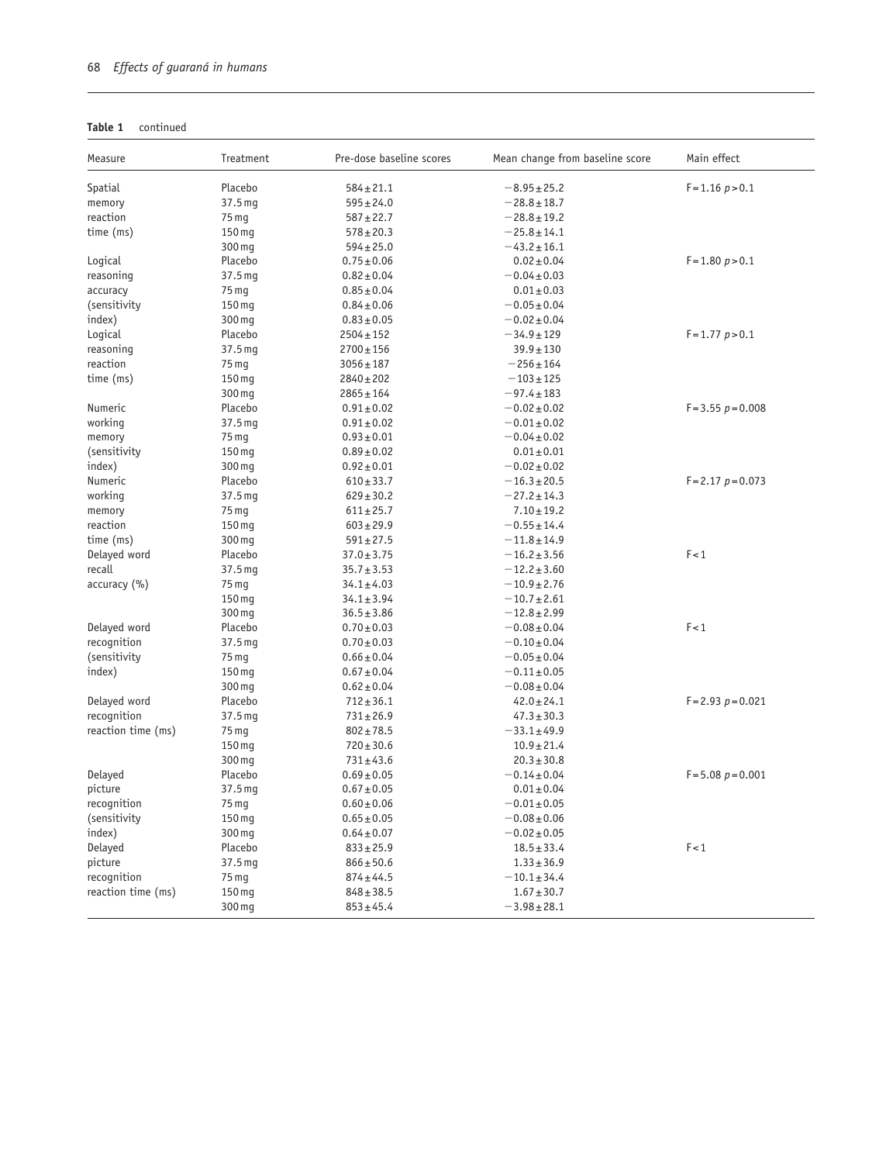| Table 1 | continued |
|---------|-----------|
|---------|-----------|

| Measure            | Treatment         | Pre-dose baseline scores           | Mean change from baseline score | Main effect          |
|--------------------|-------------------|------------------------------------|---------------------------------|----------------------|
| Spatial            | Placebo           | $584 \pm 21.1$                     | $-8.95 \pm 25.2$                | $F = 1.16 p > 0.1$   |
| memory             | 37.5 mg           | $595 \pm 24.0$                     | $-28.8 + 18.7$                  |                      |
| reaction           | 75 mg             | $587 + 22.7$                       | $-28.8 + 19.2$                  |                      |
| time (ms)          | 150 mg            | $578 \pm 20.3$                     | $-25.8 + 14.1$                  |                      |
|                    | 300 mg            | $594 \pm 25.0$                     | $-43.2 \pm 16.1$                |                      |
| Logical            | Placebo           | $0.75 \pm 0.06$                    | $0.02 \pm 0.04$                 | $F = 1.80 p > 0.1$   |
| reasoning          | 37.5 mg           | $0.82 \pm 0.04$                    | $-0.04 \pm 0.03$                |                      |
| accuracy           | 75 mg             | $0.85 \pm 0.04$                    | $0.01 \pm 0.03$                 |                      |
| (sensitivity       | 150 mg            | $0.84 \pm 0.06$                    | $-0.05 \pm 0.04$                |                      |
| index)             | 300 mg            | $0.83 \pm 0.05$                    | $-0.02 \pm 0.04$                |                      |
| Logical            | Placebo           | $2504 \pm 152$                     | $-34.9 \pm 129$                 | $F = 1.77 p > 0.1$   |
| reasoning          | 37.5 mg           | $2700 \pm 156$                     | $39.9 \pm 130$                  |                      |
| reaction           | 75 mg             | $3056 \pm 187$                     | $-256 \pm 164$                  |                      |
| time (ms)          | 150 mg            | $2840 \pm 202$                     | $-103 + 125$                    |                      |
|                    | 300 mg            | $2865 \pm 164$                     | $-97.4 \pm 183$                 |                      |
| Numeric            | Placebo           | $0.91 \pm 0.02$                    | $-0.02 \pm 0.02$                | $F = 3.55 p = 0.008$ |
| working            | 37.5 mg           | $0.91 \pm 0.02$                    | $-0.01 \pm 0.02$                |                      |
| memory             | 75 mg             | $0.93 \pm 0.01$                    | $-0.04 \pm 0.02$                |                      |
| (sensitivity       | 150 mg            | $0.89 \pm 0.02$                    | $0.01 \pm 0.01$                 |                      |
| index)             | 300 mg            | $0.92 \pm 0.01$                    | $-0.02 \pm 0.02$                |                      |
| Numeric            | Placebo           | $610 \pm 33.7$                     | $-16.3 \pm 20.5$                | $F = 2.17 p = 0.073$ |
| working            | 37.5 mg           | $629 \pm 30.2$                     | $-27.2 \pm 14.3$                |                      |
| memory             | 75 <sub>mg</sub>  | $611 \pm 25.7$                     | $7.10 \pm 19.2$                 |                      |
| reaction           | 150 mg            | $603 \pm 29.9$                     | $-0.55 \pm 14.4$                |                      |
| time (ms)          | 300 mg            | $591 \pm 27.5$                     | $-11.8 + 14.9$                  |                      |
| Delayed word       | Placebo           | $37.0 \pm 3.75$                    | $-16.2 \pm 3.56$                | F < 1                |
| recall             | 37.5 mg           | $35.7 \pm 3.53$                    | $-12.2 \pm 3.60$                |                      |
| accuracy (%)       | 75 mg             | $34.1 \pm 4.03$                    | $-10.9 \pm 2.76$                |                      |
|                    | 150 mg            | $34.1 \pm 3.94$                    | $-10.7 \pm 2.61$                |                      |
|                    | 300 mg            | $36.5 \pm 3.86$                    | $-12.8 + 2.99$                  |                      |
| Delayed word       | Placebo           | $0.70 \pm 0.03$                    | $-0.08 \pm 0.04$                | F < 1                |
| recognition        | 37.5 mg           |                                    |                                 |                      |
| (sensitivity       | 75 mg             | $0.70 \pm 0.03$<br>$0.66 \pm 0.04$ | $-0.10 \pm 0.04$                |                      |
|                    |                   |                                    | $-0.05 \pm 0.04$                |                      |
| index)             | 150 mg            | $0.67 \pm 0.04$                    | $-0.11 \pm 0.05$                |                      |
| Delayed word       | 300 mg<br>Placebo | $0.62 \pm 0.04$                    | $-0.08 \pm 0.04$                |                      |
|                    |                   | $712 \pm 36.1$                     | $42.0 \pm 24.1$                 | $F = 2.93 p = 0.021$ |
| recognition        | 37.5 mg           | $731 \pm 26.9$                     | $47.3 \pm 30.3$                 |                      |
| reaction time (ms) | 75 mg             | $802 \pm 78.5$                     | $-33.1 \pm 49.9$                |                      |
|                    | 150 mg            | $720 \pm 30.6$                     | $10.9 \pm 21.4$                 |                      |
|                    | 300 mg            | $731 \pm 43.6$                     | $20.3 \pm 30.8$                 |                      |
| Delayed            | Placebo           | $0.69 \pm 0.05$                    | $-0.14 \pm 0.04$                | $F = 5.08 p = 0.001$ |
| picture            | 37.5 mg           | $0.67 \pm 0.05$                    | $0.01 \pm 0.04$                 |                      |
| recognition        | 75 mg             | $0.60 \pm 0.06$                    | $-0.01 \pm 0.05$                |                      |
| (sensitivity       | 150 mg            | $0.65 \pm 0.05$                    | $-0.08 + 0.06$                  |                      |
| index)             | 300 mg            | $0.64 \pm 0.07$                    | $-0.02 \pm 0.05$                |                      |
| Delayed            | Placebo           | $833 \pm 25.9$                     | $18.5 \pm 33.4$                 | F < 1                |
| picture            | 37.5 mg           | $866 \pm 50.6$                     | $1.33 \pm 36.9$                 |                      |
| recognition        | 75 mg             | $874 \pm 44.5$                     | $-10.1 \pm 34.4$                |                      |
| reaction time (ms) | 150 mg            | $848 \pm 38.5$                     | $1.67 \pm 30.7$                 |                      |
|                    | 300 mg            | $853 \pm 45.4$                     | $-3.98 \pm 28.1$                |                      |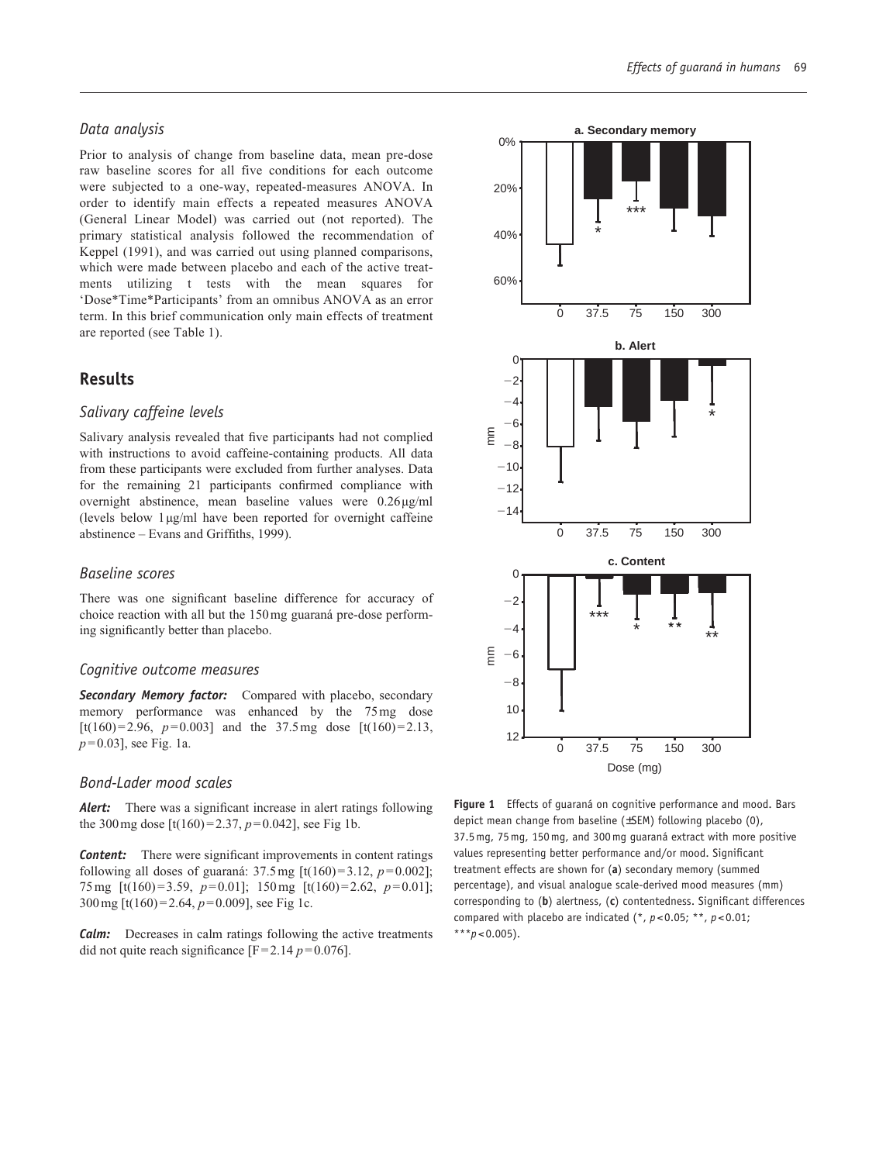# *Data analysis*

Prior to analysis of change from baseline data, mean pre-dose raw baseline scores for all five conditions for each outcome were subjected to a one-way, repeated-measures ANOVA. In order to identify main effects a repeated measures ANOVA (General Linear Model) was carried out (not reported). The primary statistical analysis followed the recommendation of Keppel (1991), and was carried out using planned comparisons, which were made between placebo and each of the active treatments utilizing t tests with the mean squares for 'Dose\*Time\*Participants' from an omnibus ANOVA as an error term. In this brief communication only main effects of treatment are reported (see Table 1).

# **Results**

# *Salivary caffeine levels*

Salivary analysis revealed that five participants had not complied with instructions to avoid caffeine-containing products. All data from these participants were excluded from further analyses. Data for the remaining 21 participants confirmed compliance with overnight abstinence, mean baseline values were 0.26 µg/ml (levels below  $1 \mu g/ml$  have been reported for overnight caffeine abstinence – Evans and Griffiths, 1999).

# *Baseline scores*

There was one significant baseline difference for accuracy of choice reaction with all but the 150 mg guaraná pre-dose performing significantly better than placebo.

# *Cognitive outcome measures*

*Secondary Memory factor:* Compared with placebo, secondary memory performance was enhanced by the 75 mg dose [t(160) = 2.96,  $p=0.003$ ] and the 37.5 mg dose [t(160) = 2.13, *p*= 0.03], see Fig. 1a.

# *Bond-Lader mood scales*

*Alert:* There was a significant increase in alert ratings following the 300 mg dose  $[t(160) = 2.37, p=0.042]$ , see Fig 1b.

*Content:* There were significant improvements in content ratings following all doses of guaraná:  $37.5 \text{ mg }$  [t(160) =  $3.12, p = 0.002$ ]; 75 mg  $[t(160) = 3.59, p=0.01]$ ; 150 mg  $[t(160) = 2.62, p=0.01]$ ; 300 mg [t(160) = 2.64, *p*= 0.009], see Fig 1c.

*Calm:* Decreases in calm ratings following the active treatments did not quite reach significance  $[F=2.14 \, p=0.076]$ .



**Figure 1** Effects of guaraná on cognitive performance and mood. Bars depict mean change from baseline (±SEM) following placebo (0), 37.5mg, 75mg, 150mg, and 300mg guaraná extract with more positive values representing better performance and/or mood. Significant treatment effects are shown for (**a**) secondary memory (summed percentage), and visual analogue scale-derived mood measures (mm) corresponding to (**b**) alertness, (**c**) contentedness. Significant differences compared with placebo are indicated (\*, *p*<0.05; \*\*, *p*<0.01;  $***p<0.005$ ).